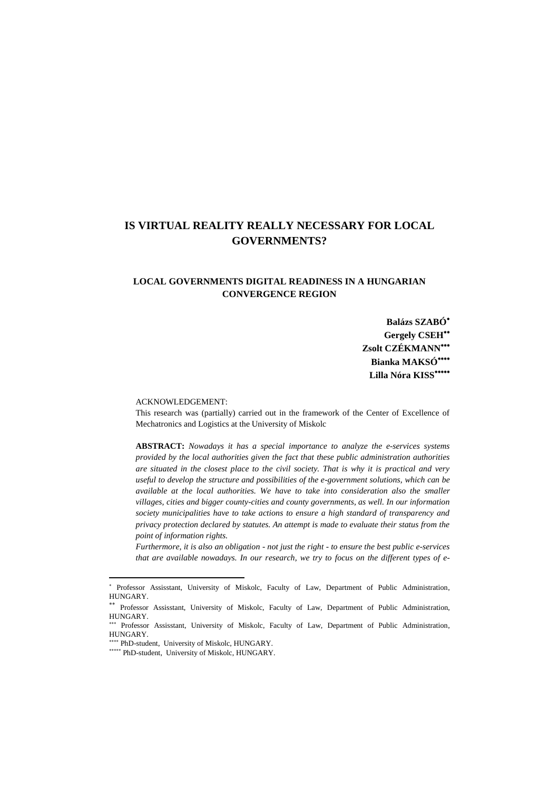# **IS VIRTUAL REALITY REALLY NECESSARY FOR LOCAL GOVERNMENTS?**

# **LOCAL GOVERNMENTS DIGITAL READINESS IN A HUNGARIAN CONVERGENCE REGION**

**Balázs SZABÓ Gergely CSEH Zsolt CZÉKMANN Bianka MAKSÓ Lilla Nóra KISS**

#### ACKNOWLEDGEMENT:

This research was (partially) carried out in the framework of the Center of Excellence of Mechatronics and Logistics at the University of Miskolc

**ABSTRACT:** *Nowadays it has a special importance to analyze the e-services systems provided by the local authorities given the fact that these public administration authorities are situated in the closest place to the civil society. That is why it is practical and very useful to develop the structure and possibilities of the e-government solutions, which can be available at the local authorities. We have to take into consideration also the smaller villages, cities and bigger county-cities and county governments, as well. In our information society municipalities have to take actions to ensure a high standard of transparency and privacy protection declared by statutes. An attempt is made to evaluate their status from the point of information rights.*

*Furthermore, it is also an obligation - not just the right - to ensure the best public e-services that are available nowadays. In our research, we try to focus on the different types of e-*

 $\overline{a}$ 

<sup>\*</sup> Professor Assisstant, University of Miskolc, Faculty of Law, Department of Public Administration, HUNGARY.

Professor Assisstant, University of Miskolc, Faculty of Law, Department of Public Administration, HUNGARY.

<sup>\*\*\*</sup> Professor Assisstant, University of Miskolc, Faculty of Law, Department of Public Administration, HUNGARY.

<sup>\*\*\*\*</sup> PhD-student, University of Miskolc, HUNGARY.

<sup>\*\*\*\*\*</sup> PhD-student, University of Miskolc, HUNGARY.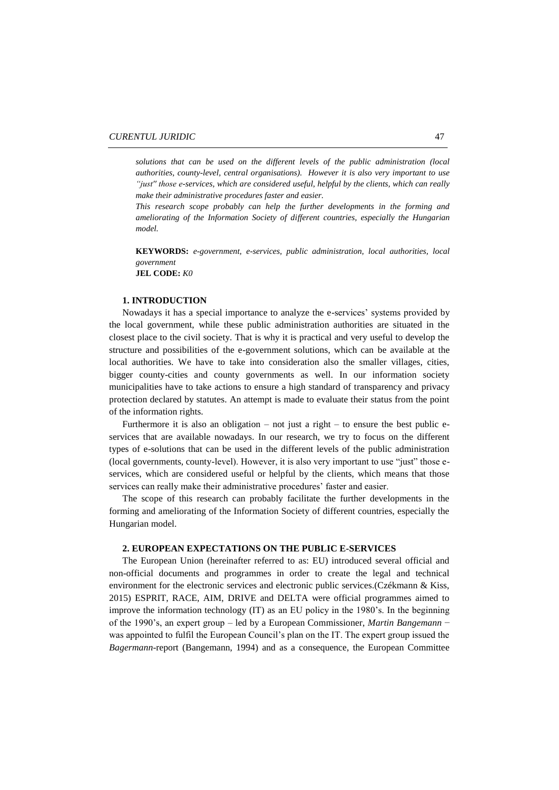*solutions that can be used on the different levels of the public administration (local authorities, county-level, central organisations). However it is also very important to use "just'' those e-services, which are considered useful, helpful by the clients, which can really make their administrative procedures faster and easier.*

*This research scope probably can help the further developments in the forming and ameliorating of the Information Society of different countries, especially the Hungarian model.*

**KEYWORDS:** *e-government, e-services, public administration, local authorities, local government*

**JEL CODE:** *K0*

### **1. INTRODUCTION**

Nowadays it has a special importance to analyze the e-services' systems provided by the local government, while these public administration authorities are situated in the closest place to the civil society. That is why it is practical and very useful to develop the structure and possibilities of the e-government solutions, which can be available at the local authorities. We have to take into consideration also the smaller villages, cities, bigger county-cities and county governments as well. In our information society municipalities have to take actions to ensure a high standard of transparency and privacy protection declared by statutes. An attempt is made to evaluate their status from the point of the information rights.

Furthermore it is also an obligation – not just a right – to ensure the best public eservices that are available nowadays. In our research, we try to focus on the different types of e-solutions that can be used in the different levels of the public administration (local governments, county-level). However, it is also very important to use "just" those eservices, which are considered useful or helpful by the clients, which means that those services can really make their administrative procedures' faster and easier.

The scope of this research can probably facilitate the further developments in the forming and ameliorating of the Information Society of different countries, especially the Hungarian model.

# **2. EUROPEAN EXPECTATIONS ON THE PUBLIC E-SERVICES**

The European Union (hereinafter referred to as: EU) introduced several official and non-official documents and programmes in order to create the legal and technical environment for the electronic services and electronic public services.(Czékmann & Kiss, 2015) ESPRIT, RACE, AIM, DRIVE and DELTA were official programmes aimed to improve the information technology (IT) as an EU policy in the 1980's. In the beginning of the 1990's, an expert group – led by a European Commissioner, *Martin Bangemann* − was appointed to fulfil the European Council's plan on the IT. The expert group issued the *Bagermann*-report (Bangemann, 1994) and as a consequence, the European Committee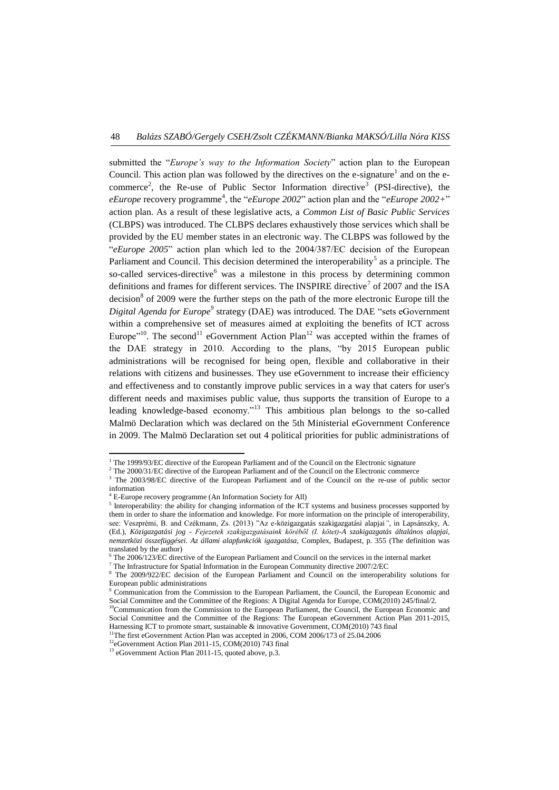submitted the "*Europe's way to the Information Society*" action plan to the European Council. This action plan was followed by the directives on the e-signature<sup>1</sup> and on the ecommerce<sup>2</sup>, the Re-use of Public Sector Information directive<sup>3</sup> (PSI-directive), the *eEurope* recovery programme<sup>4</sup>, the "*eEurope* 2002" action plan and the "*eEurope* 2002+" action plan. As a result of these legislative acts, a *Common List of Basic Public Services* (CLBPS) was introduced. The CLBPS declares exhaustively those services which shall be provided by the EU member states in an electronic way. The CLBPS was followed by the "*eEurope 2005*" action plan which led to the 2004/387/EC decision of the European Parliament and Council. This decision determined the interoperability<sup>5</sup> as a principle. The so-called services-directive<sup>6</sup> was a milestone in this process by determining common definitions and frames for different services. The INSPIRE directive<sup>7</sup> of 2007 and the ISA decision $8$  of 2009 were the further steps on the path of the more electronic Europe till the *Digital Agenda for Europe<sup>9</sup>* strategy (DAE) was introduced. The DAE "sets eGovernment within a comprehensive set of measures aimed at exploiting the benefits of ICT across Europe<sup> $n=10$ </sup>. The second<sup>11</sup> eGovernment Action Plan<sup>12</sup> was accepted within the frames of the DAE strategy in 2010. According to the plans, "by 2015 European public administrations will be recognised for being open, flexible and collaborative in their relations with citizens and businesses. They use eGovernment to increase their efficiency and effectiveness and to constantly improve public services in a way that caters for user's different needs and maximises public value, thus supports the transition of Europe to a leading knowledge-based economy."<sup>13</sup> This ambitious plan belongs to the so-called Malmö Declaration which was declared on the 5th Ministerial eGovernment Conference in 2009. The Malmö Declaration set out 4 political priorities for public administrations of

<sup>&</sup>lt;sup>1</sup> The 1999/93/EC directive of the European Parliament and of the Council on the Electronic signature

<sup>&</sup>lt;sup>2</sup> The 2000/31/EC directive of the European Parliament and of the Council on the Electronic commerce

<sup>3</sup> The 2003/98/EC directive of the European Parliament and of the Council on the re-use of public sector information

<sup>4</sup> E-Europe recovery programme (An Information Society for All)

<sup>&</sup>lt;sup>5</sup> Interoperability: the ability for changing information of the ICT systems and business processes supported by them in order to share the information and knowledge. For more information on the principle of interoperability, see: Veszprémi, B. and Czékmann, Zs. (2013) "Az e-közigazgatás szakigazgatási alapjai*"*, in Lapsánszky, A. (Ed.), *Közigazgatási jog - Fejezetek szakigazgatásaink köréből (I. kötet)-A szakigazgatás általános alapjai, nemzetközi összefüggései. Az állami alapfunkciók igazgatása,* Complex, Budapest, p. 355 (The definition was translated by the author)

<sup>6</sup> The 2006/123/EC directive of the European Parliament and Council on the services in the internal market

<sup>7</sup> The Infrastructure for Spatial Information in the European Community directive 2007/2/EC

<sup>8</sup> The 2009/922/EC decision of the European Parliament and Council on the interoperability solutions for European public administrations

<sup>9</sup> Communication from the Commission to the European Parliament, the Council, the European Economic and Social Committee and the Committee of the Regions: A Digital Agenda for Europe, COM(2010) 245/final/2.

<sup>&</sup>lt;sup>10</sup>Communication from the Commission to the European Parliament, the Council, the European Economic and Social Committee and the Committee of the Regions: The European eGovernment Action Plan 2011-2015, Harnessing ICT to promote smart, sustainable & innovative Government, COM(2010) 743 final

<sup>&</sup>lt;sup>11</sup>The first eGovernment Action Plan was accepted in 2006, COM 2006/173 of 25.04.2006

<sup>&</sup>lt;sup>12</sup>eGovernment Action Plan 2011-15, COM(2010) 743 final

<sup>&</sup>lt;sup>13</sup> eGovernment Action Plan 2011-15, quoted above, p.3.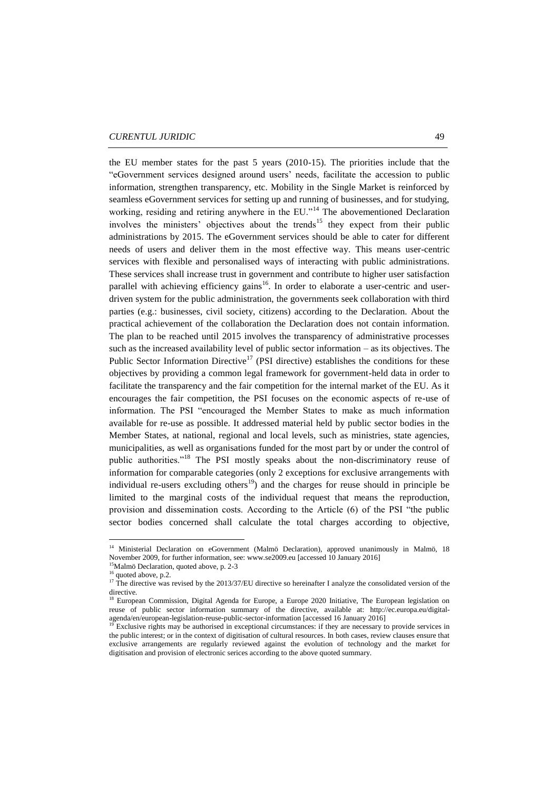the EU member states for the past 5 years (2010-15). The priorities include that the "eGovernment services designed around users' needs, facilitate the accession to public information, strengthen transparency, etc. Mobility in the Single Market is reinforced by seamless eGovernment services for setting up and running of businesses, and for studying, working, residing and retiring anywhere in the EU."<sup>14</sup> The abovementioned Declaration involves the ministers' objectives about the trends<sup>15</sup> they expect from their public administrations by 2015. The eGovernment services should be able to cater for different needs of users and deliver them in the most effective way. This means user-centric services with flexible and personalised ways of interacting with public administrations. These services shall increase trust in government and contribute to higher user satisfaction parallel with achieving efficiency gains<sup>16</sup>. In order to elaborate a user-centric and userdriven system for the public administration, the governments seek collaboration with third parties (e.g.: businesses, civil society, citizens) according to the Declaration. About the practical achievement of the collaboration the Declaration does not contain information. The plan to be reached until 2015 involves the transparency of administrative processes such as the increased availability level of public sector information – as its objectives. The Public Sector Information Directive<sup>17</sup> (PSI directive) establishes the conditions for these objectives by providing a common legal framework for government-held data in order to facilitate the transparency and the fair competition for the internal market of the EU. As it encourages the fair competition, the PSI focuses on the economic aspects of re-use of information. The PSI "encouraged the Member States to make as much information available for re-use as possible. It addressed material held by public sector bodies in the Member States, at national, regional and local levels, such as ministries, state agencies, municipalities, as well as organisations funded for the most part by or under the control of public authorities."<sup>18</sup> The PSI mostly speaks about the non-discriminatory reuse of information for comparable categories (only 2 exceptions for exclusive arrangements with individual re-users excluding others $19$ ) and the charges for reuse should in principle be limited to the marginal costs of the individual request that means the reproduction, provision and dissemination costs. According to the Article (6) of the PSI "the public sector bodies concerned shall calculate the total charges according to objective,

 $\overline{\phantom{a}}$ 

<sup>&</sup>lt;sup>14</sup> Ministerial Declaration on eGovernment (Malmö Declaration), approved unanimously in Malmö, 18 November 2009, for further information, see[: www.se2009.eu](http://www.se2009.eu/) [accessed 10 January 2016]

<sup>&</sup>lt;sup>15</sup>Malmö Declaration, quoted above, p. 2-3

quoted above, p.2.

<sup>&</sup>lt;sup>17</sup> The directive was revised by the 2013/37/EU directive so hereinafter I analyze the consolidated version of the directive.

<sup>18</sup> European Commission, Digital Agenda for Europe, a Europe 2020 Initiative, The European legislation on reuse of public sector information summary of the directive, available at: [http://ec.europa.eu/digital](http://ec.europa.eu/digital-agenda/en/european-legislation-reuse-public-sector-information) $r^2$  [agenda/en/european-legislation-reuse-public-sector-information](http://ec.europa.eu/digital-agenda/en/european-legislation-reuse-public-sector-information) [accessed 16 January 2016]<br><sup>19</sup> Exclusive sights were key

Exclusive rights may be authorised in exceptional circumstances: if they are necessary to provide services in the public interest; or in the context of digitisation of cultural resources. In both cases, review clauses ensure that exclusive arrangements are regularly reviewed against the evolution of technology and the market for digitisation and provision of electronic serices according to the above quoted summary.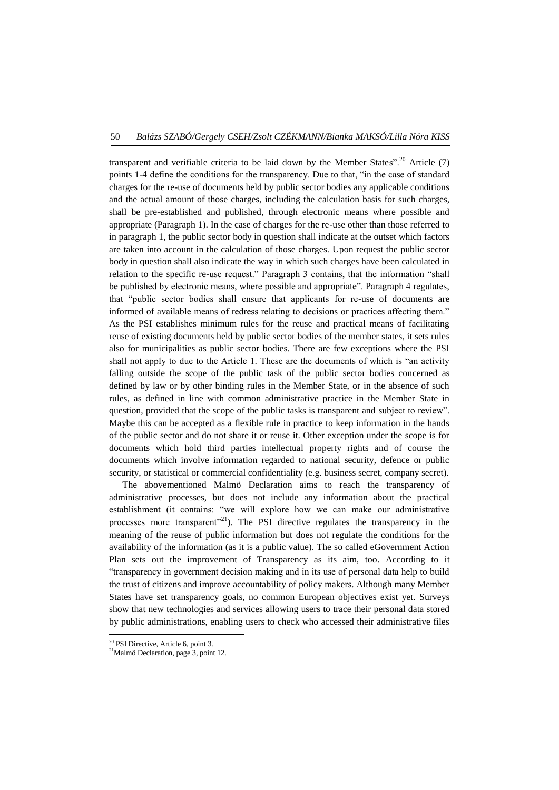transparent and verifiable criteria to be laid down by the Member States".<sup>20</sup> Article (7) points 1-4 define the conditions for the transparency. Due to that, "in the case of standard charges for the re-use of documents held by public sector bodies any applicable conditions and the actual amount of those charges, including the calculation basis for such charges, shall be pre-established and published, through electronic means where possible and appropriate (Paragraph 1). In the case of charges for the re-use other than those referred to in paragraph 1, the public sector body in question shall indicate at the outset which factors are taken into account in the calculation of those charges. Upon request the public sector body in question shall also indicate the way in which such charges have been calculated in relation to the specific re-use request." Paragraph 3 contains, that the information "shall be published by electronic means, where possible and appropriate". Paragraph 4 regulates, that "public sector bodies shall ensure that applicants for re-use of documents are informed of available means of redress relating to decisions or practices affecting them." As the PSI establishes minimum rules for the reuse and practical means of facilitating reuse of existing documents held by public sector bodies of the member states, it sets rules also for municipalities as public sector bodies. There are few exceptions where the PSI shall not apply to due to the Article 1. These are the documents of which is "an activity falling outside the scope of the public task of the public sector bodies concerned as defined by law or by other binding rules in the Member State, or in the absence of such rules, as defined in line with common administrative practice in the Member State in question, provided that the scope of the public tasks is transparent and subject to review". Maybe this can be accepted as a flexible rule in practice to keep information in the hands of the public sector and do not share it or reuse it. Other exception under the scope is for documents which hold third parties intellectual property rights and of course the documents which involve information regarded to national security, defence or public security, or statistical or commercial confidentiality (e.g. business secret, company secret).

The abovementioned Malmö Declaration aims to reach the transparency of administrative processes, but does not include any information about the practical establishment (it contains: "we will explore how we can make our administrative processes more transparent"<sup>21</sup>). The PSI directive regulates the transparency in the meaning of the reuse of public information but does not regulate the conditions for the availability of the information (as it is a public value). The so called eGovernment Action Plan sets out the improvement of Transparency as its aim, too. According to it "transparency in government decision making and in its use of personal data help to build the trust of citizens and improve accountability of policy makers. Although many Member States have set transparency goals, no common European objectives exist yet. Surveys show that new technologies and services allowing users to trace their personal data stored by public administrations, enabling users to check who accessed their administrative files

1

<sup>20</sup> PSI Directive, Article 6, point 3.

<sup>&</sup>lt;sup>21</sup>Malmö Declaration, page 3, point 12.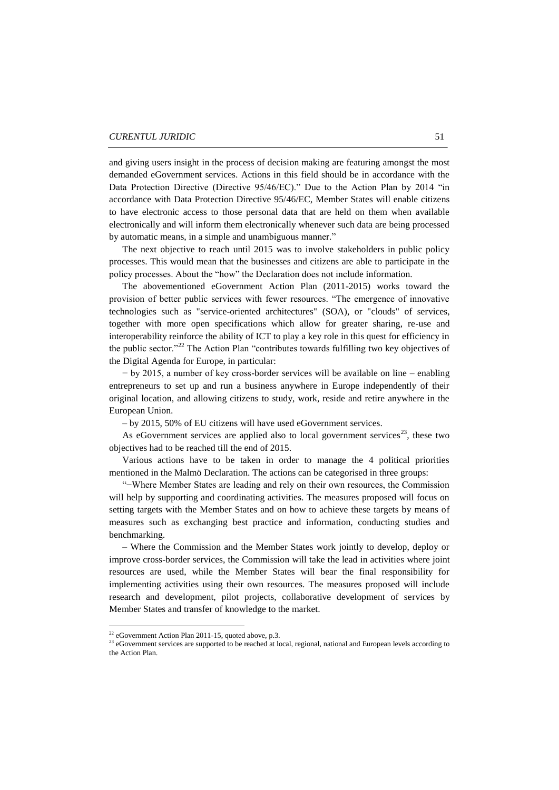and giving users insight in the process of decision making are featuring amongst the most demanded eGovernment services. Actions in this field should be in accordance with the Data Protection Directive (Directive 95/46/EC)." Due to the Action Plan by 2014 "in accordance with Data Protection Directive 95/46/EC, Member States will enable citizens to have electronic access to those personal data that are held on them when available electronically and will inform them electronically whenever such data are being processed by automatic means, in a simple and unambiguous manner."

The next objective to reach until 2015 was to involve stakeholders in public policy processes. This would mean that the businesses and citizens are able to participate in the policy processes. About the "how" the Declaration does not include information.

The abovementioned eGovernment Action Plan (2011-2015) works toward the provision of better public services with fewer resources. "The emergence of innovative technologies such as "service-oriented architectures" (SOA), or "clouds" of services, together with more open specifications which allow for greater sharing, re-use and interoperability reinforce the ability of ICT to play a key role in this quest for efficiency in the public sector."<sup>22</sup> The Action Plan "contributes towards fulfilling two key objectives of the Digital Agenda for Europe, in particular:

− by 2015, a number of key cross-border services will be available on line – enabling entrepreneurs to set up and run a business anywhere in Europe independently of their original location, and allowing citizens to study, work, reside and retire anywhere in the European Union.

– by 2015, 50% of EU citizens will have used eGovernment services.

As eGovernment services are applied also to local government services<sup>23</sup>, these two objectives had to be reached till the end of 2015.

Various actions have to be taken in order to manage the 4 political priorities mentioned in the Malmö Declaration. The actions can be categorised in three groups:

"−Where Member States are leading and rely on their own resources, the Commission will help by supporting and coordinating activities. The measures proposed will focus on setting targets with the Member States and on how to achieve these targets by means of measures such as exchanging best practice and information, conducting studies and benchmarking.

– Where the Commission and the Member States work jointly to develop, deploy or improve cross-border services, the Commission will take the lead in activities where joint resources are used, while the Member States will bear the final responsibility for implementing activities using their own resources. The measures proposed will include research and development, pilot projects, collaborative development of services by Member States and transfer of knowledge to the market.

 $22$  eGovernment Action Plan 2011-15, quoted above, p.3.

<sup>&</sup>lt;sup>23</sup> eGovernment services are supported to be reached at local, regional, national and European levels according to the Action Plan.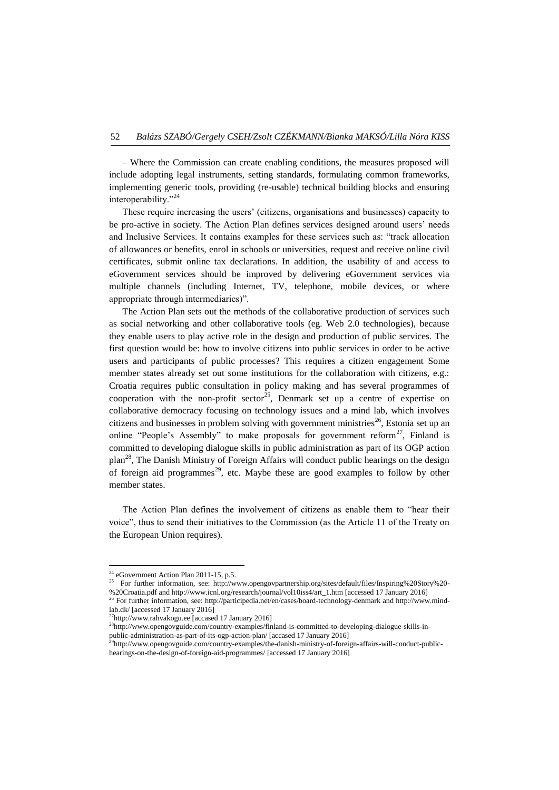– Where the Commission can create enabling conditions, the measures proposed will include adopting legal instruments, setting standards, formulating common frameworks, implementing generic tools, providing (re-usable) technical building blocks and ensuring interoperability."<sup>24</sup>

These require increasing the users' (citizens, organisations and businesses) capacity to be pro-active in society. The Action Plan defines services designed around users' needs and Inclusive Services. It contains examples for these services such as: "track allocation of allowances or benefits, enrol in schools or universities, request and receive online civil certificates, submit online tax declarations. In addition, the usability of and access to eGovernment services should be improved by delivering eGovernment services via multiple channels (including Internet, TV, telephone, mobile devices, or where appropriate through intermediaries)".

The Action Plan sets out the methods of the collaborative production of services such as social networking and other collaborative tools (eg. Web 2.0 technologies), because they enable users to play active role in the design and production of public services. The first question would be: how to involve citizens into public services in order to be active users and participants of public processes? This requires a citizen engagement Some member states already set out some institutions for the collaboration with citizens, e.g.: Croatia requires public consultation in policy making and has several programmes of cooperation with the non-profit sector<sup>25</sup>, Denmark set up a centre of expertise on collaborative democracy focusing on technology issues and a mind lab, which involves citizens and businesses in problem solving with government ministries<sup>26</sup>, Estonia set up an online "People's Assembly" to make proposals for government reform<sup>27</sup>, Finland is committed to developing dialogue skills in public administration as part of its OGP action  $plan^{28}$ , The Danish Ministry of Foreign Affairs will conduct public hearings on the design of foreign aid programmes<sup>29</sup>, etc. Maybe these are good examples to follow by other member states.

The Action Plan defines the involvement of citizens as enable them to "hear their voice", thus to send their initiatives to the Commission (as the Article 11 of the Treaty on the European Union requires).

1

 $24$  eGovernment Action Plan 2011-15, p.5.

<sup>25</sup> For further information, see: [http://www.opengovpartnership.org/sites/default/files/Inspiring%20Story%20-](http://www.opengovpartnership.org/sites/default/files/Inspiring%20Story%20-%20Croatia.pdf) [%20Croatia.pdf](http://www.opengovpartnership.org/sites/default/files/Inspiring%20Story%20-%20Croatia.pdf) an[d http://www.icnl.org/research/journal/vol10iss4/art\\_1.htm](http://www.icnl.org/research/journal/vol10iss4/art_1.htm) [accessed 17 January 2016]

<sup>26</sup> For further information, see:<http://participedia.net/en/cases/board-technology-denmark> an[d http://www.mind](http://www.mind-lab.dk/)[lab.dk/](http://www.mind-lab.dk/) [accessed 17 January 2016]

 $^{27}$ [http://www.rahvakogu.ee](http://www.rahvakogu.ee/) [accased 17 January 2016]

<sup>28</sup>[http://www.opengovguide.com/country-examples/finland-is-committed-to-developing-dialogue-skills-in](http://www.opengovguide.com/country-examples/finland-is-committed-to-developing-dialogue-skills-in-public-administration-as-part-of-its-ogp-action-plan/)[public-administration-as-part-of-its-ogp-action-plan/](http://www.opengovguide.com/country-examples/finland-is-committed-to-developing-dialogue-skills-in-public-administration-as-part-of-its-ogp-action-plan/) [accased 17 January 2016]

<sup>&</sup>lt;sup>29</sup>[http://www.opengovguide.com/country-examples/the-danish-ministry-of-foreign-affairs-will-conduct-public](http://www.opengovguide.com/country-examples/the-danish-ministry-of-foreign-affairs-will-conduct-public-hearings-on-the-design-of-foreign-aid-programmes/)[hearings-on-the-design-of-foreign-aid-programmes/](http://www.opengovguide.com/country-examples/the-danish-ministry-of-foreign-affairs-will-conduct-public-hearings-on-the-design-of-foreign-aid-programmes/) [accessed 17 January 2016]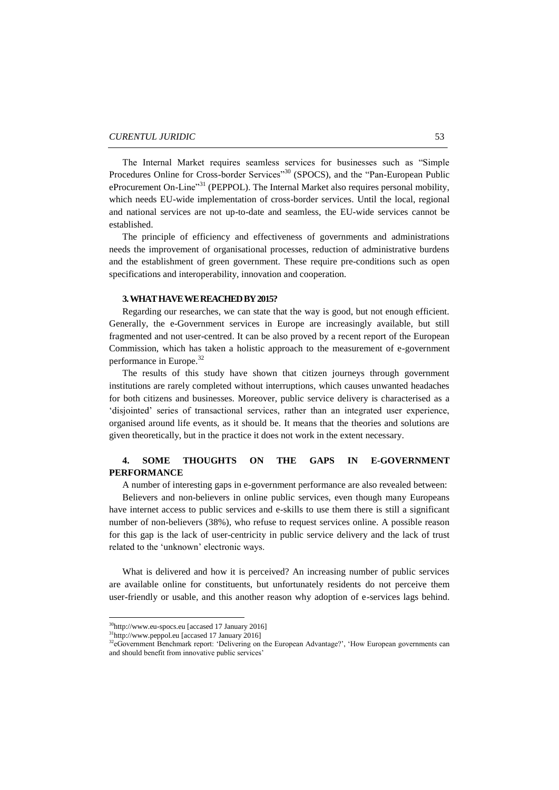The Internal Market requires seamless services for businesses such as "Simple Procedures Online for Cross-border Services"<sup>30</sup> (SPOCS), and the "Pan-European Public eProcurement On-Line"<sup>31</sup> (PEPPOL). The Internal Market also requires personal mobility, which needs EU-wide implementation of cross-border services. Until the local, regional and national services are not up-to-date and seamless, the EU-wide services cannot be established.

The principle of efficiency and effectiveness of governments and administrations needs the improvement of organisational processes, reduction of administrative burdens and the establishment of green government. These require pre-conditions such as open specifications and interoperability, innovation and cooperation.

#### **3. WHAT HAVE WE REACHEDBY 2015?**

Regarding our researches, we can state that the way is good, but not enough efficient. Generally, the [e-Government services in Europe are increasingly available, but still](http://www.emunicipality.com/egov-services-europe-2014/)  [fragmented and not user-centred.](http://www.emunicipality.com/egov-services-europe-2014/) It can be also proved by a recent report of the European Commission, which has taken a holistic approach to the measurement of e-government performance in Europe.<sup>32</sup>

The results of this study have shown that citizen journeys through government institutions are rarely completed without interruptions, which causes unwanted headaches for both citizens and businesses. Moreover, public service delivery is characterised as a 'disjointed' series of transactional services, rather than an integrated user experience, organised around life events, as it should be. It means that the theories and solutions are given theoretically, but in the practice it does not work in the extent necessary.

# **4. SOME THOUGHTS ON THE GAPS IN E-GOVERNMENT PERFORMANCE**

A number of interesting gaps in e-government performance are also revealed between:

Believers and non-believers in online public services, even though many Europeans have internet access to public services and e-skills to use them there is still a significant number of non-believers (38%), who refuse to request services online. A possible reason for this gap is the lack of user-centricity in public service delivery and the lack of trust related to the 'unknown' electronic ways.

What is delivered and how it is perceived? An increasing number of public services are available online for constituents, but unfortunately residents do not perceive them user-friendly or usable, and this another reason why adoption of e-services lags behind.

1

 $30$ [http://www.eu-spocs.eu](http://www.eu-spocs.eu/) [accased 17 January 2016]

<sup>31</sup>[http://www.peppol.eu](http://www.peppol.eu/) [accased 17 January 2016]

<sup>&</sup>lt;sup>32</sup>[eGovernment Benchmark report: 'Delivering on the European Advantage?',](http://ec.europa.eu/digital-agenda/en/news/eu-egovernment-report-2014-shows-usability-online-public-services-improving-not-fast) 'How European governments can [and should benefit from innovative public services'](http://ec.europa.eu/digital-agenda/en/news/eu-egovernment-report-2014-shows-usability-online-public-services-improving-not-fast)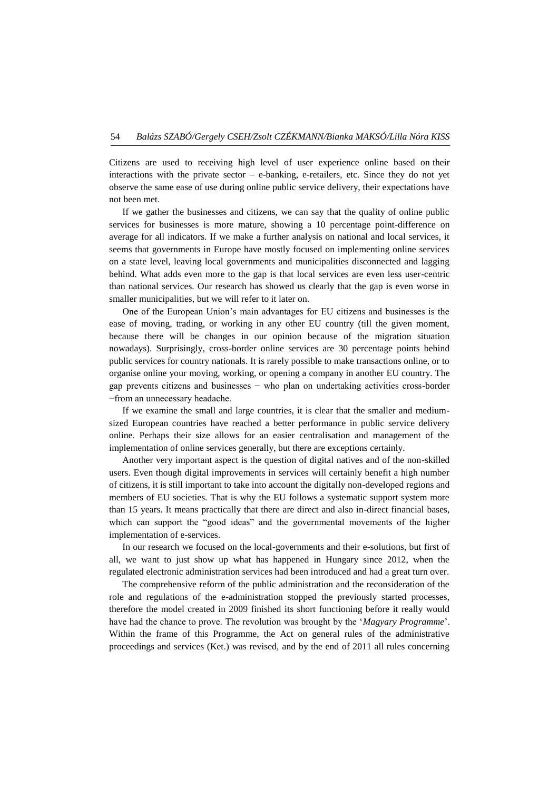Citizens are used to receiving high level of user experience online based on their interactions with the private sector  $-$  e-banking, e-retailers, etc. Since they do not yet observe the same ease of use during online public service delivery, their expectations have not been met.

If we gather the businesses and citizens, we can say that the quality of online public services for businesses is more mature, showing a 10 percentage point-difference on average for all indicators. If we make a further analysis on national and local services, it seems that governments in Europe have mostly focused on implementing online services on a state level, leaving local governments and municipalities disconnected and lagging behind. What adds even more to the gap is that local services are even less user-centric than national services. Our research has showed us clearly that the gap is even worse in smaller municipalities, but we will refer to it later on.

One of the European Union's main advantages for EU citizens and businesses is the ease of moving, trading, or working in any other EU country (till the given moment, because there will be changes in our opinion because of the migration situation nowadays). Surprisingly, cross-border online services are 30 percentage points behind public services for country nationals. It is rarely possible to make transactions online, or to organise online your moving, working, or opening a company in another EU country. The gap prevents citizens and businesses − who plan on undertaking activities cross-border −from an unnecessary headache.

If we examine the small and large countries, it is clear that the smaller and mediumsized European countries have reached a better performance in public service delivery online. Perhaps their size allows for an easier centralisation and management of the implementation of online services generally, but there are exceptions certainly.

Another very important aspect is the question of digital natives and of the non-skilled users. Even though digital improvements in services will certainly benefit a high number of citizens, it is still important to take into account the digitally non-developed regions and members of EU societies. That is why the EU follows a systematic support system more than 15 years. It means practically that there are direct and also in-direct financial bases, which can support the "good ideas" and the governmental movements of the higher implementation of e-services.

In our research we focused on the local-governments and their e-solutions, but first of all, we want to just show up what has happened in Hungary since 2012, when the regulated electronic administration services had been introduced and had a great turn over.

The comprehensive reform of the public administration and the reconsideration of the role and regulations of the e-administration stopped the previously started processes, therefore the model created in 2009 finished its short functioning before it really would have had the chance to prove. The revolution was brought by the '*Magyary Programme*'. Within the frame of this Programme, the Act on general rules of the administrative proceedings and services (Ket.) was revised, and by the end of 2011 all rules concerning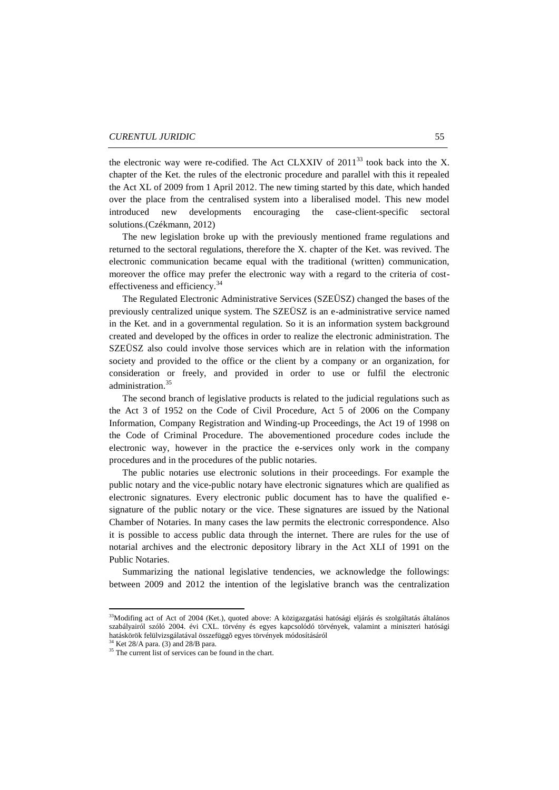the electronic way were re-codified. The Act CLXXIV of  $2011^{33}$  took back into the X. chapter of the Ket. the rules of the electronic procedure and parallel with this it repealed the Act XL of 2009 from 1 April 2012. The new timing started by this date, which handed over the place from the centralised system into a liberalised model. This new model introduced new developments encouraging the case-client-specific sectoral solutions.(Czékmann, 2012)

The new legislation broke up with the previously mentioned frame regulations and returned to the sectoral regulations, therefore the X. chapter of the Ket. was revived. The electronic communication became equal with the traditional (written) communication, moreover the office may prefer the electronic way with a regard to the criteria of costeffectiveness and efficiency.<sup>34</sup>

The Regulated Electronic Administrative Services (SZEÜSZ) changed the bases of the previously centralized unique system. The SZEÜSZ is an e-administrative service named in the Ket. and in a governmental regulation. So it is an information system background created and developed by the offices in order to realize the electronic administration. The SZEÜSZ also could involve those services which are in relation with the information society and provided to the office or the client by a company or an organization, for consideration or freely, and provided in order to use or fulfil the electronic administration.<sup>35</sup>

The second branch of legislative products is related to the judicial regulations such as the Act 3 of 1952 on the Code of Civil Procedure, Act 5 of 2006 on the Company Information, Company Registration and Winding-up Proceedings, the Act 19 of 1998 on the Code of Criminal Procedure. The abovementioned procedure codes include the electronic way, however in the practice the e-services only work in the company procedures and in the procedures of the public notaries.

The public notaries use electronic solutions in their proceedings. For example the public notary and the vice-public notary have electronic signatures which are qualified as electronic signatures. Every electronic public document has to have the qualified esignature of the public notary or the vice. These signatures are issued by the National Chamber of Notaries. In many cases the law permits the electronic correspondence. Also it is possible to access public data through the internet. There are rules for the use of notarial archives and the electronic depository library in the Act XLI of 1991 on the Public Notaries.

Summarizing the national legislative tendencies, we acknowledge the followings: between 2009 and 2012 the intention of the legislative branch was the centralization

<sup>&</sup>lt;sup>33</sup>Modifing act of Act of 2004 (Ket.), quoted above: A közigazgatási hatósági eljárás és szolgáltatás általános szabályairól szóló 2004. évi CXL. törvény és egyes kapcsolódó törvények, valamint a miniszteri hatósági hatáskörök felülvizsgálatával összefüggõ egyes törvények módosításáról

 $34$  Ket 28/A para. (3) and 28/B para.

<sup>&</sup>lt;sup>35</sup> The current list of services can be found in the chart.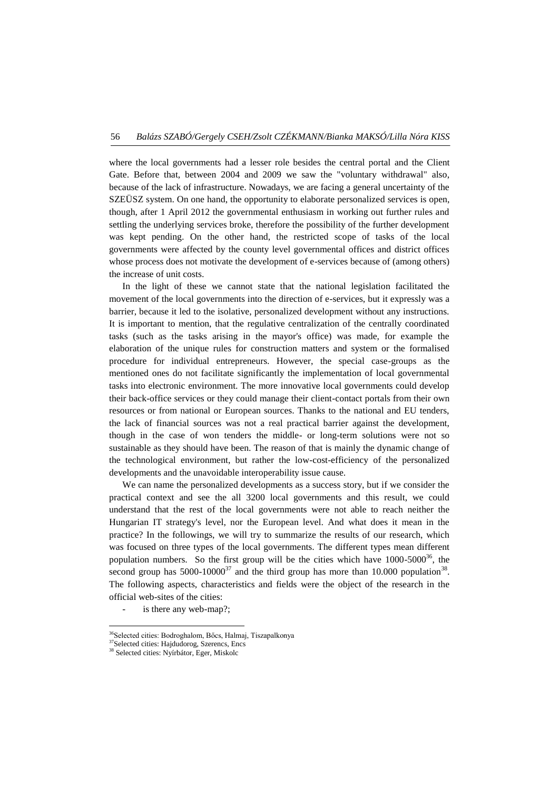where the local governments had a lesser role besides the central portal and the Client Gate. Before that, between 2004 and 2009 we saw the "voluntary withdrawal" also, because of the lack of infrastructure. Nowadays, we are facing a general uncertainty of the SZEÜSZ system. On one hand, the opportunity to elaborate personalized services is open, though, after 1 April 2012 the governmental enthusiasm in working out further rules and settling the underlying services broke, therefore the possibility of the further development was kept pending. On the other hand, the restricted scope of tasks of the local governments were affected by the county level governmental offices and district offices whose process does not motivate the development of e-services because of (among others) the increase of unit costs.

In the light of these we cannot state that the national legislation facilitated the movement of the local governments into the direction of e-services, but it expressly was a barrier, because it led to the isolative, personalized development without any instructions. It is important to mention, that the regulative centralization of the centrally coordinated tasks (such as the tasks arising in the mayor's office) was made, for example the elaboration of the unique rules for construction matters and system or the formalised procedure for individual entrepreneurs. However, the special case-groups as the mentioned ones do not facilitate significantly the implementation of local governmental tasks into electronic environment. The more innovative local governments could develop their back-office services or they could manage their client-contact portals from their own resources or from national or European sources. Thanks to the national and EU tenders, the lack of financial sources was not a real practical barrier against the development, though in the case of won tenders the middle- or long-term solutions were not so sustainable as they should have been. The reason of that is mainly the dynamic change of the technological environment, but rather the low-cost-efficiency of the personalized developments and the unavoidable interoperability issue cause.

We can name the personalized developments as a success story, but if we consider the practical context and see the all 3200 local governments and this result, we could understand that the rest of the local governments were not able to reach neither the Hungarian IT strategy's level, nor the European level. And what does it mean in the practice? In the followings, we will try to summarize the results of our research, which was focused on three types of the local governments. The different types mean different population numbers. So the first group will be the cities which have  $1000-5000^{36}$ , the second group has  $5000-10000^{37}$  and the third group has more than 10.000 population<sup>38</sup>. The following aspects, characteristics and fields were the object of the research in the official web-sites of the cities:

is there any web-map?;

<sup>&</sup>lt;sup>36</sup>Selected cities: Bodroghalom, Bőcs, Halmaj, Tiszapalkonya

<sup>&</sup>lt;sup>37</sup>Selected cities: Hajdudorog, Szerencs, Encs

<sup>38</sup> Selected cities: Nyírbátor, Eger, Miskolc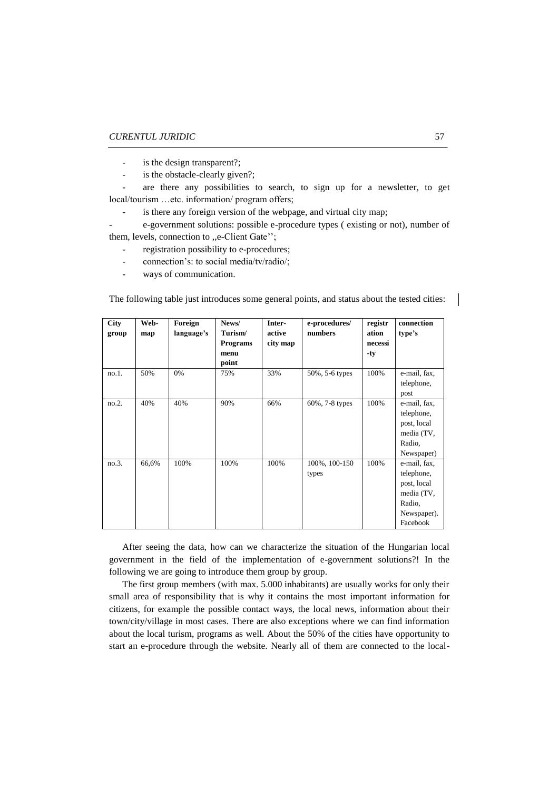- is the design transparent?;
- is the obstacle-clearly given?;
- are there any possibilities to search, to sign up for a newsletter, to get local/tourism …etc. information/ program offers;
	- is there any foreign version of the webpage, and virtual city map;

- e-government solutions: possible e-procedure types ( existing or not), number of them, levels, connection to ,,e-Client Gate'';

- registration possibility to e-procedures;
- connection's: to social media/tv/radio/;
- ways of communication.

The following table just introduces some general points, and status about the tested cities:

| <b>City</b><br>group | Web-<br>map | Foreign<br>language's | News/<br>Turism/<br><b>Programs</b><br>menu<br>point | Inter-<br>active<br>city map | e-procedures/<br>numbers | registr<br>ation<br>necessi<br>$-ty$ | connection<br>type's                                                                         |
|----------------------|-------------|-----------------------|------------------------------------------------------|------------------------------|--------------------------|--------------------------------------|----------------------------------------------------------------------------------------------|
| $no.1$ .             | 50%         | 0%                    | 75%                                                  | 33%                          | 50%, 5-6 types           | 100%                                 | e-mail, fax,<br>telephone,<br>post                                                           |
| no.2.                | 40%         | 40%                   | 90%                                                  | 66%                          | 60%, 7-8 types           | 100%                                 | e-mail, fax,<br>telephone,<br>post, local<br>media (TV,<br>Radio,<br>Newspaper)              |
| no.3.                | 66,6%       | 100%                  | 100%                                                 | 100%                         | 100%, 100-150<br>types   | 100%                                 | e-mail, fax,<br>telephone,<br>post, local<br>media (TV,<br>Radio,<br>Newspaper).<br>Facebook |

After seeing the data, how can we characterize the situation of the Hungarian local government in the field of the implementation of e-government solutions?! In the following we are going to introduce them group by group.

The first group members (with max. 5.000 inhabitants) are usually works for only their small area of responsibility that is why it contains the most important information for citizens, for example the possible contact ways, the local news, information about their town/city/village in most cases. There are also exceptions where we can find information about the local turism, programs as well. About the 50% of the cities have opportunity to start an e-procedure through the website. Nearly all of them are connected to the local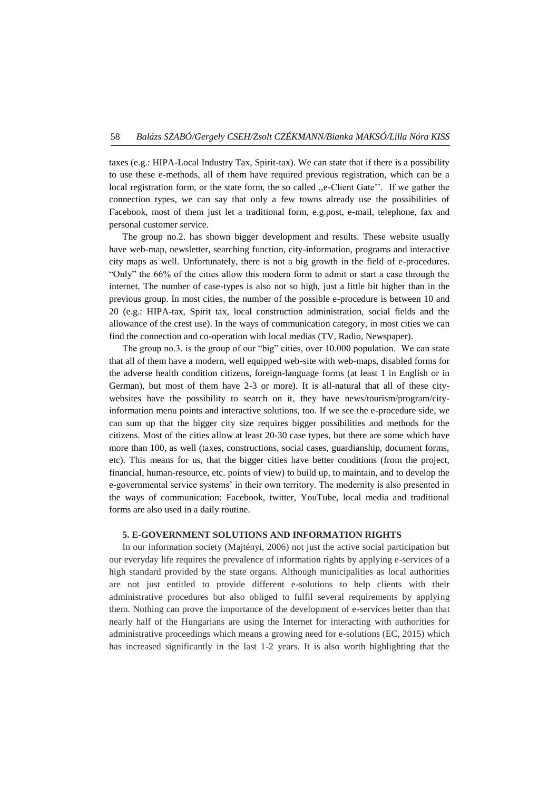taxes (e.g.: HIPA-Local Industry Tax, Spirit-tax). We can state that if there is a possibility to use these e-methods, all of them have required previous registration, which can be a local registration form, or the state form, the so called "e-Client Gate". If we gather the connection types, we can say that only a few towns already use the possibilities of Facebook, most of them just let a traditional form, e.g.post, e-mail, telephone, fax and personal customer service.

The group no.2. has shown bigger development and results. These website usually have web-map, newsletter, searching function, city-information, programs and interactive city maps as well. Unfortunately, there is not a big growth in the field of e-procedures. "Only" the 66% of the cities allow this modern form to admit or start a case through the internet. The number of case-types is also not so high, just a little bit higher than in the previous group. In most cities, the number of the possible e-procedure is between 10 and 20 (e.g.: HIPA-tax, Spirit tax, local construction administration, social fields and the allowance of the crest use). In the ways of communication category, in most cities we can find the connection and co-operation with local medias (TV, Radio, Newspaper).

The group no.3. is the group of our "big" cities, over 10.000 population. We can state that all of them have a modern, well equipped web-site with web-maps, disabled forms for the adverse health condition citizens, foreign-language forms (at least 1 in English or in German), but most of them have 2-3 or more). It is all-natural that all of these citywebsites have the possibility to search on it, they have news/tourism/program/cityinformation menu points and interactive solutions, too. If we see the e-procedure side, we can sum up that the bigger city size requires bigger possibilities and methods for the citizens. Most of the cities allow at least 20-30 case types, but there are some which have more than 100, as well (taxes, constructions, social cases, guardianship, document forms, etc). This means for us, that the bigger cities have better conditions (from the project, financial, human-resource, etc. points of view) to build up, to maintain, and to develop the e-governmental service systems' in their own territory. The modernity is also presented in the ways of communication: Facebook, twitter, YouTube, local media and traditional forms are also used in a daily routine.

#### **5. E-GOVERNMENT SOLUTIONS AND INFORMATION RIGHTS**

In our information society (Majtényi, 2006) not just the active social participation but our everyday life requires the prevalence of information rights by applying e-services of a high standard provided by the state organs. Although municipalities as local authorities are not just entitled to provide different e-solutions to help clients with their administrative procedures but also obliged to fulfil several requirements by applying them. Nothing can prove the importance of the development of e-services better than that nearly half of the Hungarians are using the Internet for interacting with authorities for administrative proceedings which means a growing need for e-solutions (EC, 2015) which has increased significantly in the last 1-2 years. It is also worth highlighting that the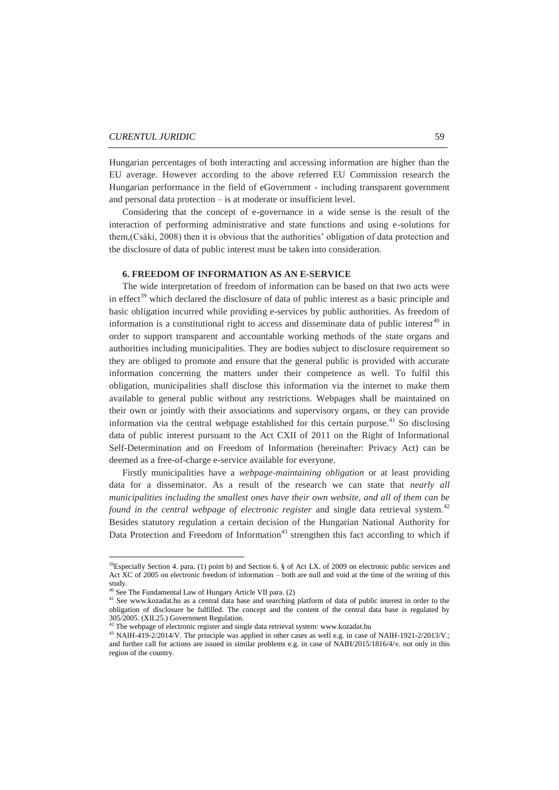Hungarian percentages of both interacting and accessing information are higher than the EU average. However according to the above referred EU Commission research the Hungarian performance in the field of eGovernment - including transparent government and personal data protection – is at moderate or insufficient level.

Considering that the concept of e-governance in a wide sense is the result of the interaction of performing administrative and state functions and using e-solutions for them,(Csáki, 2008) then it is obvious that the authorities' obligation of data protection and the disclosure of data of public interest must be taken into consideration.

### **6. FREEDOM OF INFORMATION AS AN E-SERVICE**

The wide interpretation of freedom of information can be based on that two acts were in effect<sup>39</sup> which declared the disclosure of data of public interest as a basic principle and basic obligation incurred while providing e-services by public authorities. As freedom of information is a constitutional right to access and disseminate data of public interest<sup> $40$ </sup> in order to support transparent and accountable working methods of the state organs and authorities including municipalities. They are bodies subject to disclosure requirement so they are obliged to promote and ensure that the general public is provided with accurate information concerning the matters under their competence as well. To fulfil this obligation, municipalities shall disclose this information via the internet to make them available to general public without any restrictions. Webpages shall be maintained on their own or jointly with their associations and supervisory organs, or they can provide information via the central webpage established for this certain purpose.<sup>41</sup> So disclosing data of public interest pursuant to the Act CXII of 2011 on the Right of Informational Self-Determination and on Freedom of Information (hereinafter: Privacy Act) can be deemed as a free-of-charge e-service available for everyone.

Firstly municipalities have a *webpage-maintaining obligation* or at least providing data for a disseminator. As a result of the research we can state that *nearly all municipalities including the smallest ones have their own website, and all of them can be found in the central webpage of electronic register* and single data retrieval system.<sup>42</sup> Besides statutory regulation a certain decision of the Hungarian National Authority for Data Protection and Freedom of Information<sup>43</sup> strengthen this fact according to which if

 $\overline{\phantom{a}}$ 

<sup>&</sup>lt;sup>39</sup>Especially Section 4. para. (1) point b) and Section 6. § of Act LX. of 2009 on electronic public services and Act XC of 2005 on electronic freedom of information – both are null and void at the time of the writing of this study.

<sup>40</sup> See The Fundamental Law of Hungary Article VII para. (2)

<sup>&</sup>lt;sup>41</sup> See [www.kozadat.hu](http://www.kozadat.hu/) as a central data base and searching platform of data of public interest in order to the obligation of disclosure be fulfilled. The concept and the content of the central data base is regulated by 305/2005. (XII.25.) Government Regulation.

 $42$  The webpage of electronic register and single data retrieval system: www.kozadat.hu

<sup>&</sup>lt;sup>43</sup> NAIH-419-2/2014/V. The principle was applied in other cases as well e.g. in case of NAIH-1921-2/2013/V.; and further call for actions are issued in similar problems e.g. in case of NAIH/2015/1816/4/v. not only in this region of the country.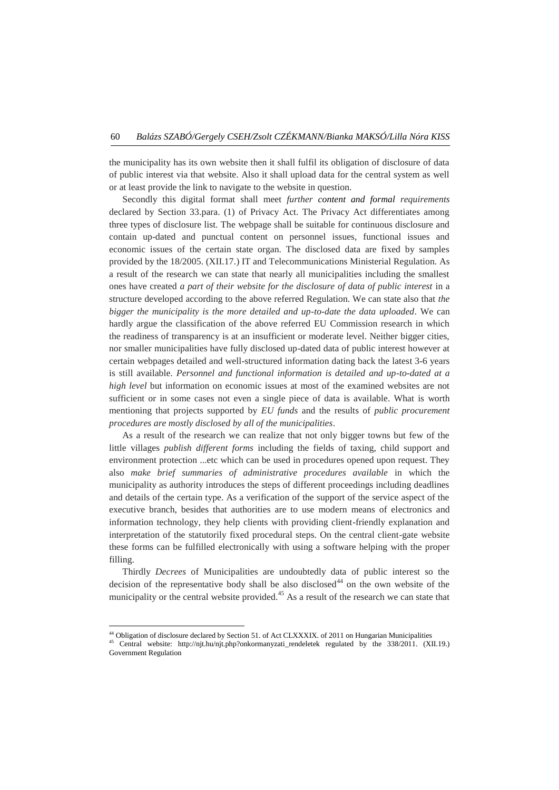the municipality has its own website then it shall fulfil its obligation of disclosure of data of public interest via that website. Also it shall upload data for the central system as well or at least provide the link to navigate to the website in question.

Secondly this digital format shall meet *further content and formal requirements* declared by Section 33.para. (1) of Privacy Act. The Privacy Act differentiates among three types of disclosure list. The webpage shall be suitable for continuous disclosure and contain up-dated and punctual content on personnel issues, functional issues and economic issues of the certain state organ. The disclosed data are fixed by samples provided by the 18/2005. (XII.17.) IT and Telecommunications Ministerial Regulation. As a result of the research we can state that nearly all municipalities including the smallest ones have created *a part of their website for the disclosure of data of public interest* in a structure developed according to the above referred Regulation. We can state also that *the bigger the municipality is the more detailed and up-to-date the data uploaded*. We can hardly argue the classification of the above referred EU Commission research in which the readiness of transparency is at an insufficient or moderate level. Neither bigger cities, nor smaller municipalities have fully disclosed up-dated data of public interest however at certain webpages detailed and well-structured information dating back the latest 3-6 years is still available. *Personnel and functional information is detailed and up-to-dated at a high level* but information on economic issues at most of the examined websites are not sufficient or in some cases not even a single piece of data is available. What is worth mentioning that projects supported by *EU funds* and the results of *public procurement procedures are mostly disclosed by all of the municipalities*.

As a result of the research we can realize that not only bigger towns but few of the little villages *publish different forms* including the fields of taxing, child support and environment protection ...etc which can be used in procedures opened upon request. They also *make brief summaries of administrative procedures available* in which the municipality as authority introduces the steps of different proceedings including deadlines and details of the certain type. As a verification of the support of the service aspect of the executive branch, besides that authorities are to use modern means of electronics and information technology, they help clients with providing client-friendly explanation and interpretation of the statutorily fixed procedural steps. On the central client-gate website these forms can be fulfilled electronically with using a software helping with the proper filling.

Thirdly *Decrees* of Municipalities are undoubtedly data of public interest so the decision of the representative body shall be also disclosed<sup>44</sup> on the own website of the municipality or the central website provided.<sup>45</sup> As a result of the research we can state that

<sup>44</sup> Obligation of disclosure declared by Section 51. of Act CLXXXIX. of 2011 on Hungarian Municipalities

<sup>45</sup> Central website: [http://njt.hu/njt.php?onkormanyzati\\_rendeletek](http://njt.hu/njt.php?onkormanyzati_rendeletek) regulated by the 338/2011. (XII.19.) Government Regulation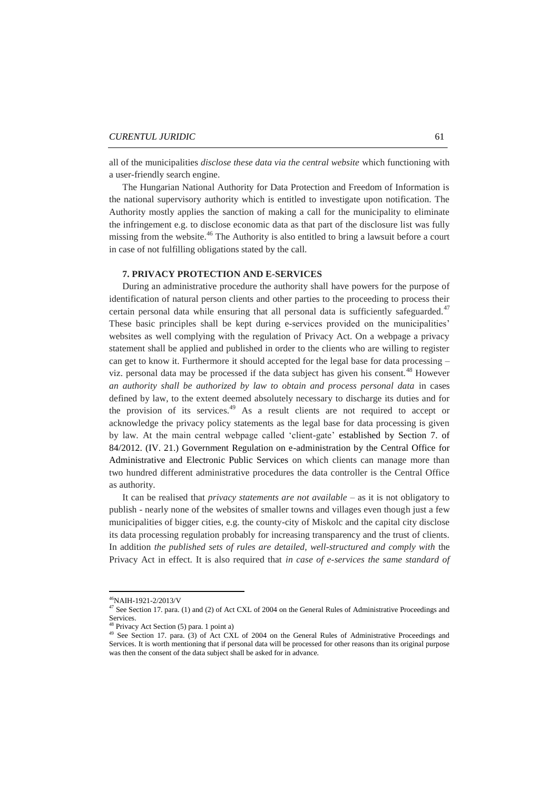all of the municipalities *disclose these data via the central website* which functioning with a user-friendly search engine.

The Hungarian National Authority for Data Protection and Freedom of Information is the national supervisory authority which is entitled to investigate upon notification. The Authority mostly applies the sanction of making a call for the municipality to eliminate the infringement e.g. to disclose economic data as that part of the disclosure list was fully missing from the website.<sup>46</sup> The Authority is also entitled to bring a lawsuit before a court in case of not fulfilling obligations stated by the call.

## **7. PRIVACY PROTECTION AND E-SERVICES**

During an administrative procedure the authority shall have powers for the purpose of identification of natural person clients and other parties to the proceeding to process their certain personal data while ensuring that all personal data is sufficiently safeguarded.<sup> $47$ </sup> These basic principles shall be kept during e-services provided on the municipalities' websites as well complying with the regulation of Privacy Act. On a webpage a privacy statement shall be applied and published in order to the clients who are willing to register can get to know it. Furthermore it should accepted for the legal base for data processing – viz. personal data may be processed if the data subject has given his consent.<sup>48</sup> However *an authority shall be authorized by law to obtain and process personal data* in cases defined by law, to the extent deemed absolutely necessary to discharge its duties and for the provision of its services.<sup>49</sup> As a result clients are not required to accept or acknowledge the privacy policy statements as the legal base for data processing is given by law. At the main central webpage called 'client-gate' established by Section 7. of 84/2012. (IV. 21.) Government Regulation on e-administration by the Central Office for Administrative and Electronic Public Services on which clients can manage more than two hundred different administrative procedures the data controller is the Central Office as authority.

It can be realised that *privacy statements are not available* – as it is not obligatory to publish - nearly none of the websites of smaller towns and villages even though just a few municipalities of bigger cities, e.g. the county-city of Miskolc and the capital city disclose its data processing regulation probably for increasing transparency and the trust of clients. In addition *the published sets of rules are detailed, well-structured and comply with* the Privacy Act in effect. It is also required that *in case of e-services the same standard of* 

 $\overline{\phantom{a}}$ 

<sup>46</sup>NAIH-1921-2/2013/V

<sup>&</sup>lt;sup>47</sup> See Section 17. para. (1) and (2) of Act CXL of 2004 on the General Rules of Administrative Proceedings and Services.

Privacy Act Section (5) para. 1 point a)

<sup>&</sup>lt;sup>49</sup> See Section 17. para. (3) of Act CXL of 2004 on the General Rules of Administrative Proceedings and Services. It is worth mentioning that if personal data will be processed for other reasons than its original purpose was then the consent of the data subject shall be asked for in advance.